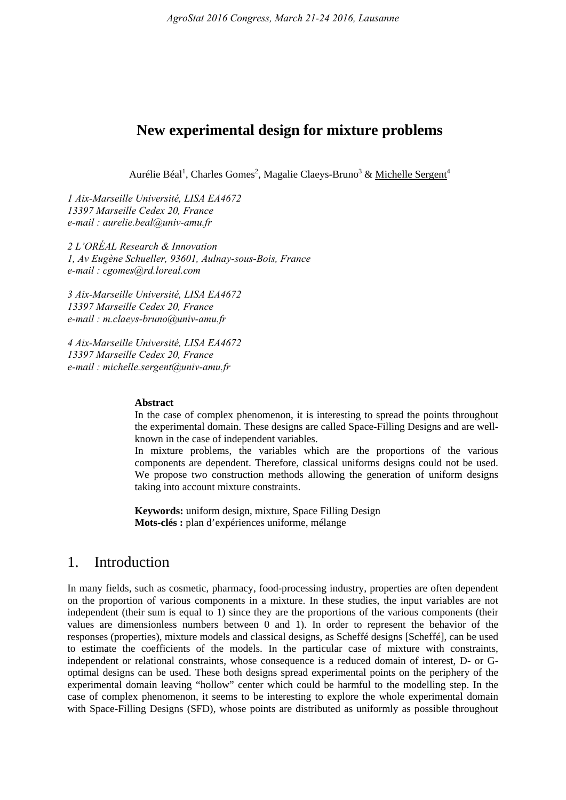## **New experimental design for mixture problems**

Aurélie Béal<sup>1</sup>, Charles Gomes<sup>2</sup>, Magalie Claeys-Bruno<sup>3</sup> & Michelle Sergent<sup>4</sup>

*1 Aix-Marseille Université, LISA EA4672 13397 Marseille Cedex 20, France e-mail : aurelie.beal@univ-amu.fr* 

*2 L'ORÉAL Research & Innovation 1, Av Eugène Schueller, 93601, Aulnay-sous-Bois, France e-mail : cgomes@rd.loreal.com* 

*3 Aix-Marseille Université, LISA EA4672 13397 Marseille Cedex 20, France e-mail : m.claeys-bruno@univ-amu.fr* 

*4 Aix-Marseille Université, LISA EA4672 13397 Marseille Cedex 20, France e-mail : michelle.sergent@univ-amu.fr* 

#### **Abstract**

In the case of complex phenomenon, it is interesting to spread the points throughout the experimental domain. These designs are called Space-Filling Designs and are wellknown in the case of independent variables.

In mixture problems, the variables which are the proportions of the various components are dependent. Therefore, classical uniforms designs could not be used. We propose two construction methods allowing the generation of uniform designs taking into account mixture constraints.

**Keywords:** uniform design, mixture, Space Filling Design **Mots-clés :** plan d'expériences uniforme, mélange

# 1. Introduction

In many fields, such as cosmetic, pharmacy, food-processing industry, properties are often dependent on the proportion of various components in a mixture. In these studies, the input variables are not independent (their sum is equal to 1) since they are the proportions of the various components (their values are dimensionless numbers between 0 and 1). In order to represent the behavior of the responses (properties), mixture models and classical designs, as Scheffé designs [Scheffé], can be used to estimate the coefficients of the models. In the particular case of mixture with constraints, independent or relational constraints, whose consequence is a reduced domain of interest, D- or Goptimal designs can be used. These both designs spread experimental points on the periphery of the experimental domain leaving "hollow" center which could be harmful to the modelling step. In the case of complex phenomenon, it seems to be interesting to explore the whole experimental domain with Space-Filling Designs (SFD), whose points are distributed as uniformly as possible throughout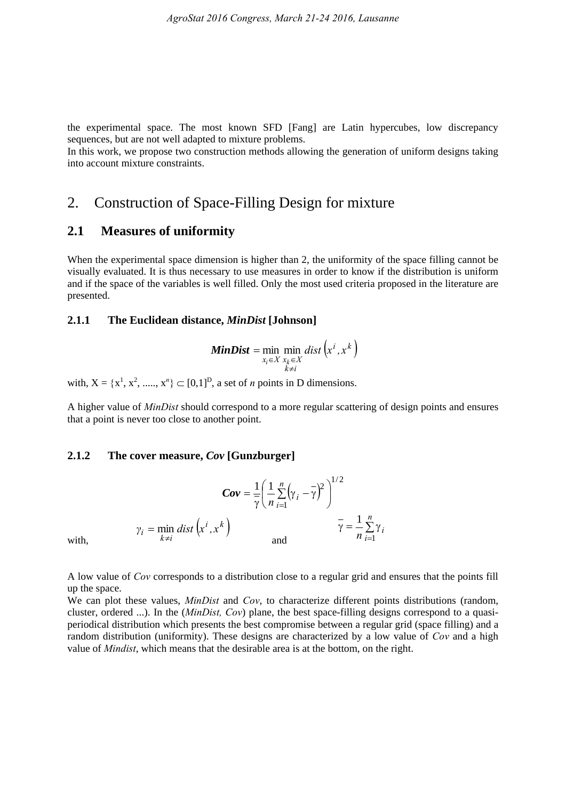the experimental space. The most known SFD [Fang] are Latin hypercubes, low discrepancy sequences, but are not well adapted to mixture problems.

In this work, we propose two construction methods allowing the generation of uniform designs taking into account mixture constraints.

# 2. Construction of Space-Filling Design for mixture

### **2.1 Measures of uniformity**

When the experimental space dimension is higher than 2, the uniformity of the space filling cannot be visually evaluated. It is thus necessary to use measures in order to know if the distribution is uniform and if the space of the variables is well filled. Only the most used criteria proposed in the literature are presented.

#### **2.1.1 The Euclidean distance,** *MinDist* **[Johnson]**

$$
MinDist = \min_{x_i \in X} \min_{\substack{x_k \in X \\ k \neq i}} dist\left(x^i, x^k\right)
$$

with,  $X = \{x^1, x^2, \dots, x^n\} \subset [0,1]^D$ , a set of *n* points in D dimensions.

A higher value of *MinDist* should correspond to a more regular scattering of design points and ensures that a point is never too close to another point.

#### **2.1.2 The cover measure,** *Cov* **[Gunzburger]**

$$
Cov = \frac{1}{\gamma} \left( \frac{1}{n} \sum_{i=1}^{n} (\gamma_i - \overline{\gamma})^2 \right)^{1/2}
$$
  

$$
\gamma_i = \min_{k \neq i} dist\left( x^i, x^k \right) \qquad \qquad \frac{1}{\gamma} = \frac{1}{n} \sum_{i=1}^{n} \gamma_i
$$

A low value of *Cov* corresponds to a distribution close to a regular grid and ensures that the points fill up the space.

We can plot these values, *MinDist* and *Cov*, to characterize different points distributions (random, cluster, ordered ...). In the (*MinDist, Cov*) plane, the best space-filling designs correspond to a quasiperiodical distribution which presents the best compromise between a regular grid (space filling) and a random distribution (uniformity). These designs are characterized by a low value of *Cov* and a high value of *Mindist*, which means that the desirable area is at the bottom, on the right.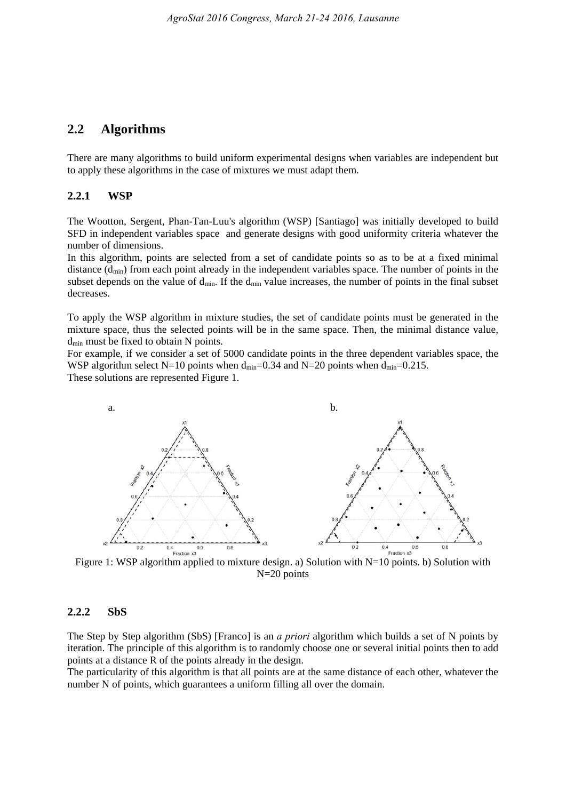### **2.2 Algorithms**

There are many algorithms to build uniform experimental designs when variables are independent but to apply these algorithms in the case of mixtures we must adapt them.

#### **2.2.1 WSP**

The Wootton, Sergent, Phan-Tan-Luu's algorithm (WSP) [Santiago] was initially developed to build SFD in independent variables space and generate designs with good uniformity criteria whatever the number of dimensions.

In this algorithm, points are selected from a set of candidate points so as to be at a fixed minimal distance  $(d_{min})$  from each point already in the independent variables space. The number of points in the subset depends on the value of  $d_{\text{min}}$ . If the  $d_{\text{min}}$  value increases, the number of points in the final subset decreases.

To apply the WSP algorithm in mixture studies, the set of candidate points must be generated in the mixture space, thus the selected points will be in the same space. Then, the minimal distance value, d<sub>min</sub> must be fixed to obtain N points.

For example, if we consider a set of 5000 candidate points in the three dependent variables space, the WSP algorithm select N=10 points when  $d_{min}=0.34$  and N=20 points when  $d_{min}=0.215$ . These solutions are represented Figure 1.



Figure 1: WSP algorithm applied to mixture design. a) Solution with N=10 points. b) Solution with N=20 points

#### **2.2.2 SbS**

The Step by Step algorithm (SbS) [Franco] is an *a priori* algorithm which builds a set of N points by iteration. The principle of this algorithm is to randomly choose one or several initial points then to add points at a distance R of the points already in the design.

The particularity of this algorithm is that all points are at the same distance of each other, whatever the number N of points, which guarantees a uniform filling all over the domain.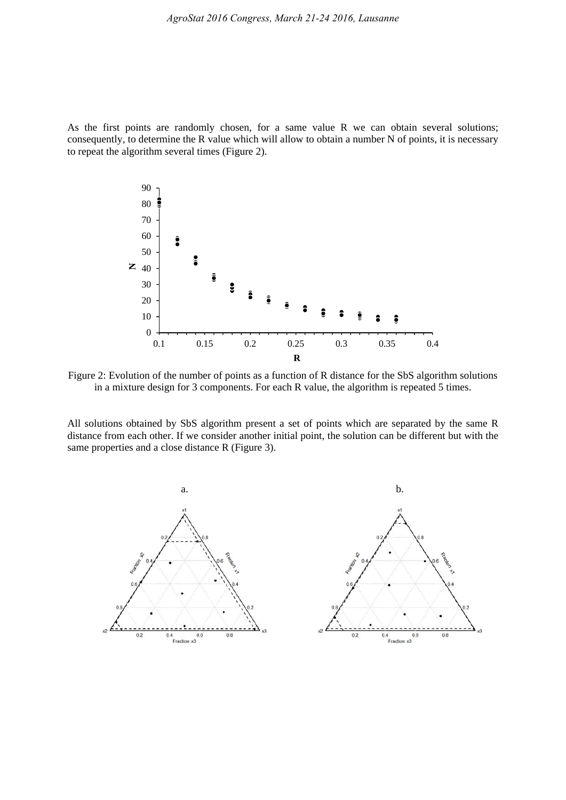As the first points are randomly chosen, for a same value R we can obtain several solutions; consequently, to determine the R value which will allow to obtain a number N of points, it is necessary to repeat the algorithm several times (Figure 2).



Figure 2: Evolution of the number of points as a function of R distance for the SbS algorithm solutions in a mixture design for 3 components. For each R value, the algorithm is repeated 5 times.

All solutions obtained by SbS algorithm present a set of points which are separated by the same R distance from each other. If we consider another initial point, the solution can be different but with the same properties and a close distance R (Figure 3).

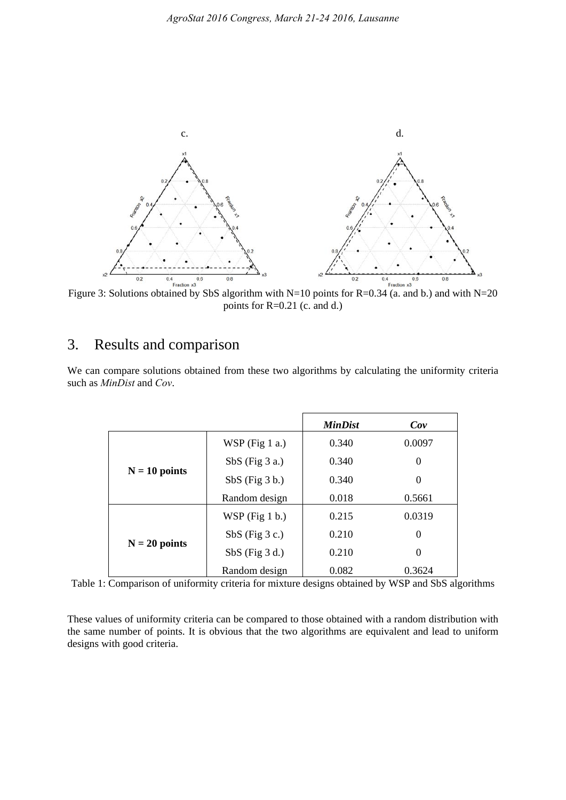

Figure 3: Solutions obtained by SbS algorithm with N=10 points for R=0.34 (a. and b.) and with N=20 points for R=0.21 (c. and d.)

# 3. Results and comparison

| We can compare solutions obtained from these two algorithms by calculating the uniformity criteria |  |  |  |  |
|----------------------------------------------------------------------------------------------------|--|--|--|--|
| such as <i>MinDist</i> and <i>Cov</i> .                                                            |  |  |  |  |
|                                                                                                    |  |  |  |  |

|                 |                  | <b>MinDist</b> | Cov      |
|-----------------|------------------|----------------|----------|
|                 | WSP (Fig $1$ a.) | 0.340          | 0.0097   |
|                 | $SbS$ (Fig 3 a.) | 0.340          | 0        |
| $N = 10$ points | $SbS$ (Fig 3 b.) | 0.340          | $\Omega$ |
|                 | Random design    | 0.018          | 0.5661   |
|                 | $WSP$ (Fig 1 b.) | 0.215          | 0.0319   |
|                 | $SbS$ (Fig 3 c.) | 0.210          | 0        |
| $N = 20$ points | $SbS$ (Fig 3 d.) | 0.210          | 0        |
|                 | Random design    | 0.082          | 0.3624   |

Table 1: Comparison of uniformity criteria for mixture designs obtained by WSP and SbS algorithms

These values of uniformity criteria can be compared to those obtained with a random distribution with the same number of points. It is obvious that the two algorithms are equivalent and lead to uniform designs with good criteria.